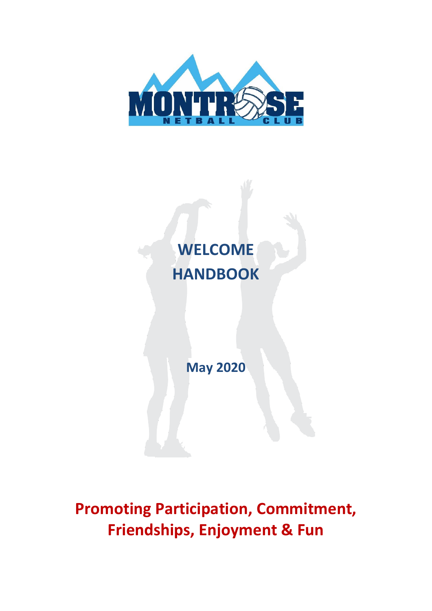



**May 2020**

**Promoting Participation, Commitment, Friendships, Enjoyment & Fun**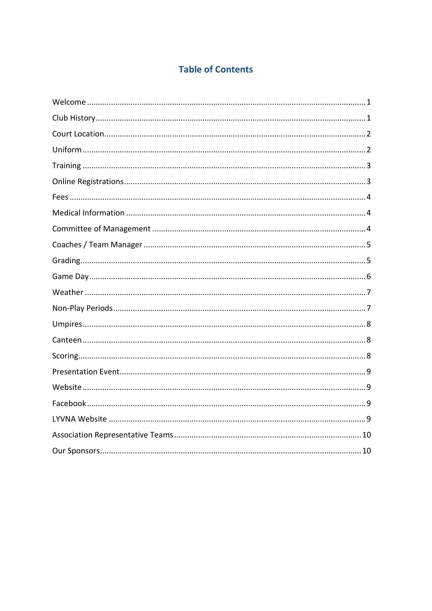# **Table of Contents**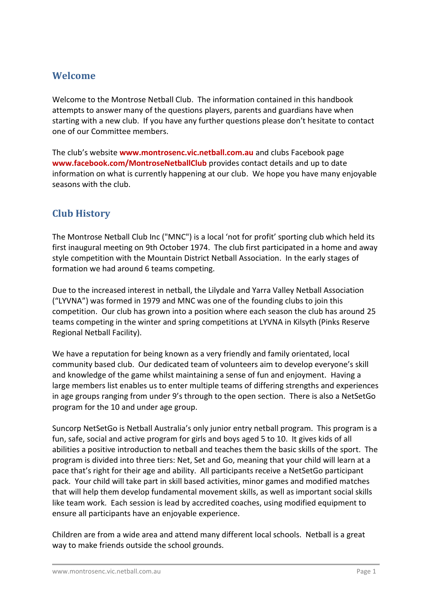## <span id="page-2-0"></span>**Welcome**

Welcome to the Montrose Netball Club. The information contained in this handbook attempts to answer many of the questions players, parents and guardians have when starting with a new club. If you have any further questions please don't hesitate to contact one of our Committee members.

The club's website **www.montrosenc.vic.netball.com.au** and clubs Facebook page **www.facebook.com/MontroseNetballClub** provides contact details and up to date information on what is currently happening at our club. We hope you have many enjoyable seasons with the club.

# <span id="page-2-1"></span>**Club History**

The Montrose Netball Club Inc ("MNC") is a local 'not for profit' sporting club which held its first inaugural meeting on 9th October 1974. The club first participated in a home and away style competition with the Mountain District Netball Association. In the early stages of formation we had around 6 teams competing.

Due to the increased interest in netball, the Lilydale and Yarra Valley Netball Association ("LYVNA") was formed in 1979 and MNC was one of the founding clubs to join this competition. Our club has grown into a position where each season the club has around 25 teams competing in the winter and spring competitions at LYVNA in Kilsyth (Pinks Reserve Regional Netball Facility).

We have a reputation for being known as a very friendly and family orientated, local community based club. Our dedicated team of volunteers aim to develop everyone's skill and knowledge of the game whilst maintaining a sense of fun and enjoyment. Having a large members list enables us to enter multiple teams of differing strengths and experiences in age groups ranging from under 9's through to the open section. There is also a NetSetGo program for the 10 and under age group.

Suncorp NetSetGo is Netball Australia's only junior entry netball program. This program is a fun, safe, social and active program for girls and boys aged 5 to 10. It gives kids of all abilities a positive introduction to netball and teaches them the basic skills of the sport. The program is divided into three tiers: Net, Set and Go, meaning that your child will learn at a pace that's right for their age and ability. All participants receive a NetSetGo participant pack. Your child will take part in skill based activities, minor games and modified matches that will help them develop fundamental movement skills, as well as important social skills like team work. Each session is lead by accredited coaches, using modified equipment to ensure all participants have an enjoyable experience.

Children are from a wide area and attend many different local schools. Netball is a great way to make friends outside the school grounds.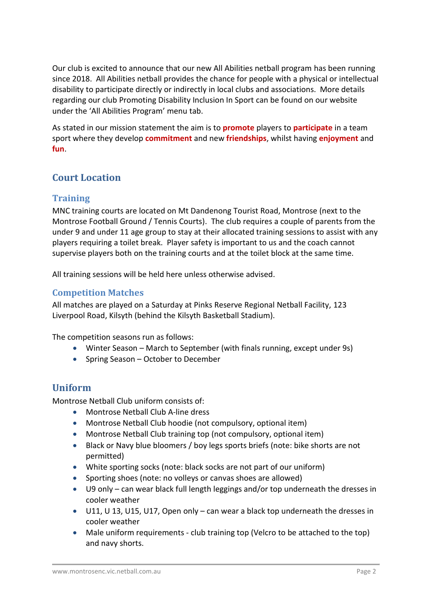Our club is excited to announce that our new All Abilities netball program has been running since 2018. All Abilities netball provides the chance for people with a physical or intellectual disability to participate directly or indirectly in local clubs and associations. More details regarding our club Promoting Disability Inclusion In Sport can be found on our website under the 'All Abilities Program' menu tab.

As stated in our mission statement the aim is to **promote** players to **participate** in a team sport where they develop **commitment** and new **friendships**, whilst having **enjoyment** and **fun**.

# <span id="page-3-0"></span>**Court Location**

#### **Training**

MNC training courts are located on Mt Dandenong Tourist Road, Montrose (next to the Montrose Football Ground / Tennis Courts). The club requires a couple of parents from the under 9 and under 11 age group to stay at their allocated training sessions to assist with any players requiring a toilet break. Player safety is important to us and the coach cannot supervise players both on the training courts and at the toilet block at the same time.

All training sessions will be held here unless otherwise advised.

#### **Competition Matches**

All matches are played on a Saturday at Pinks Reserve Regional Netball Facility, 123 Liverpool Road, Kilsyth (behind the Kilsyth Basketball Stadium).

The competition seasons run as follows:

- Winter Season March to September (with finals running, except under 9s)
- Spring Season October to December

## <span id="page-3-1"></span>**Uniform**

Montrose Netball Club uniform consists of:

- Montrose Netball Club A-line dress
- Montrose Netball Club hoodie (not compulsory, optional item)
- Montrose Netball Club training top (not compulsory, optional item)
- Black or Navy blue bloomers / boy legs sports briefs (note: bike shorts are not permitted)
- White sporting socks (note: black socks are not part of our uniform)
- Sporting shoes (note: no volleys or canvas shoes are allowed)
- U9 only can wear black full length leggings and/or top underneath the dresses in cooler weather
- U11, U 13, U15, U17, Open only can wear a black top underneath the dresses in cooler weather
- Male uniform requirements club training top (Velcro to be attached to the top) and navy shorts.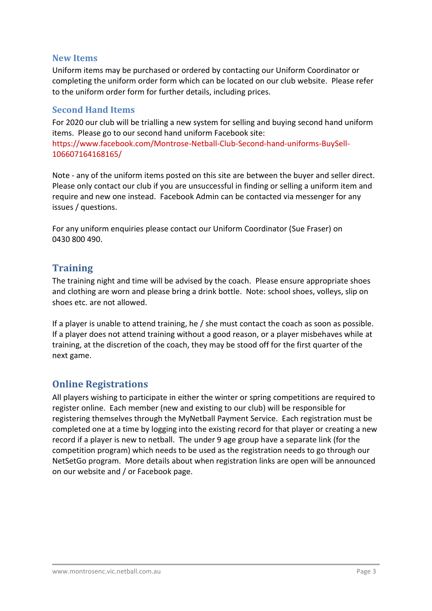#### **New Items**

Uniform items may be purchased or ordered by contacting our Uniform Coordinator or completing the uniform order form which can be located on our club website. Please refer to the uniform order form for further details, including prices.

#### **Second Hand Items**

For 2020 our club will be trialling a new system for selling and buying second hand uniform items. Please go to our second hand uniform Facebook site: [https://www.facebook.com/Montrose-Netball-Club-Second-hand-uniforms-BuySell-](https://www.facebook.com/Montrose-Netball-Club-Second-hand-uniforms-BuySell-106607164168165/)[106607164168165/](https://www.facebook.com/Montrose-Netball-Club-Second-hand-uniforms-BuySell-106607164168165/)

Note - any of the uniform items posted on this site are between the buyer and seller direct. Please only contact our club if you are unsuccessful in finding or selling a uniform item and require and new one instead. Facebook Admin can be contacted via messenger for any issues / questions.

For any uniform enquiries please contact our Uniform Coordinator (Sue Fraser) on 0430 800 490.

## <span id="page-4-0"></span>**Training**

The training night and time will be advised by the coach. Please ensure appropriate shoes and clothing are worn and please bring a drink bottle. Note: school shoes, volleys, slip on shoes etc. are not allowed.

If a player is unable to attend training, he / she must contact the coach as soon as possible. If a player does not attend training without a good reason, or a player misbehaves while at training, at the discretion of the coach, they may be stood off for the first quarter of the next game.

## <span id="page-4-1"></span>**Online Registrations**

All players wishing to participate in either the winter or spring competitions are required to register online. Each member (new and existing to our club) will be responsible for registering themselves through the MyNetball Payment Service. Each registration must be completed one at a time by logging into the existing record for that player or creating a new record if a player is new to netball. The under 9 age group have a separate link (for the competition program) which needs to be used as the registration needs to go through our NetSetGo program. More details about when registration links are open will be announced on our website and / or Facebook page.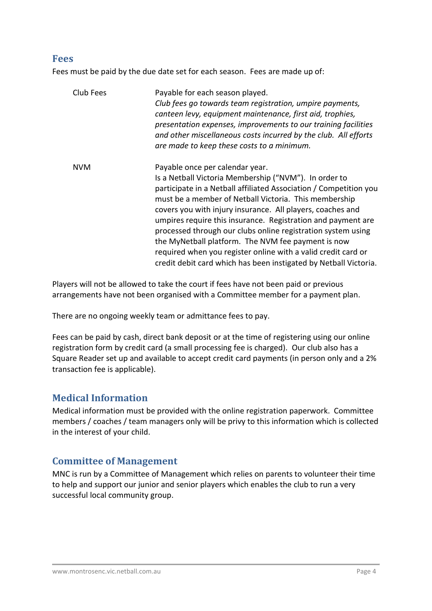#### <span id="page-5-0"></span>**Fees**

Fees must be paid by the due date set for each season. Fees are made up of:

| Club Fees  | Payable for each season played.<br>Club fees go towards team registration, umpire payments,<br>canteen levy, equipment maintenance, first aid, trophies,<br>presentation expenses, improvements to our training facilities<br>and other miscellaneous costs incurred by the club. All efforts<br>are made to keep these costs to a minimum.                                                                                                                                                                                                                                                                     |
|------------|-----------------------------------------------------------------------------------------------------------------------------------------------------------------------------------------------------------------------------------------------------------------------------------------------------------------------------------------------------------------------------------------------------------------------------------------------------------------------------------------------------------------------------------------------------------------------------------------------------------------|
| <b>NVM</b> | Payable once per calendar year.<br>Is a Netball Victoria Membership ("NVM"). In order to<br>participate in a Netball affiliated Association / Competition you<br>must be a member of Netball Victoria. This membership<br>covers you with injury insurance. All players, coaches and<br>umpires require this insurance. Registration and payment are<br>processed through our clubs online registration system using<br>the MyNetball platform. The NVM fee payment is now<br>required when you register online with a valid credit card or<br>credit debit card which has been instigated by Netball Victoria. |

Players will not be allowed to take the court if fees have not been paid or previous arrangements have not been organised with a Committee member for a payment plan.

There are no ongoing weekly team or admittance fees to pay.

Fees can be paid by cash, direct bank deposit or at the time of registering using our online registration form by credit card (a small processing fee is charged). Our club also has a Square Reader set up and available to accept credit card payments (in person only and a 2% transaction fee is applicable).

## <span id="page-5-1"></span>**Medical Information**

Medical information must be provided with the online registration paperwork. Committee members / coaches / team managers only will be privy to this information which is collected in the interest of your child.

## <span id="page-5-2"></span>**Committee of Management**

MNC is run by a Committee of Management which relies on parents to volunteer their time to help and support our junior and senior players which enables the club to run a very successful local community group.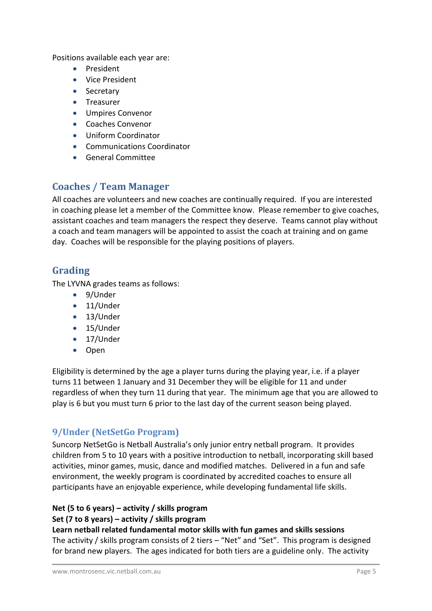Positions available each year are:

- President
- Vice President
- Secretary
- Treasurer
- Umpires Convenor
- Coaches Convenor
- Uniform Coordinator
- Communications Coordinator
- General Committee

# <span id="page-6-0"></span>**Coaches / Team Manager**

All coaches are volunteers and new coaches are continually required. If you are interested in coaching please let a member of the Committee know. Please remember to give coaches, assistant coaches and team managers the respect they deserve. Teams cannot play without a coach and team managers will be appointed to assist the coach at training and on game day. Coaches will be responsible for the playing positions of players.

## <span id="page-6-1"></span>**Grading**

The LYVNA grades teams as follows:

- 9/Under
- 11/Under
- 13/Under
- 15/Under
- 17/Under
- Open

Eligibility is determined by the age a player turns during the playing year, i.e. if a player turns 11 between 1 January and 31 December they will be eligible for 11 and under regardless of when they turn 11 during that year. The minimum age that you are allowed to play is 6 but you must turn 6 prior to the last day of the current season being played.

## **9/Under (NetSetGo Program)**

Suncorp NetSetGo is Netball Australia's only junior entry netball program. It provides children from 5 to 10 years with a positive introduction to netball, incorporating skill based activities, minor games, music, dance and modified matches. Delivered in a fun and safe environment, the weekly program is coordinated by accredited coaches to ensure all participants have an enjoyable experience, while developing fundamental life skills.

#### **Net (5 to 6 years) – activity / skills program**

#### **Set (7 to 8 years) – activity / skills program**

**Learn netball related fundamental motor skills with fun games and skills sessions**

The activity / skills program consists of 2 tiers – "Net" and "Set". This program is designed for brand new players. The ages indicated for both tiers are a guideline only. The activity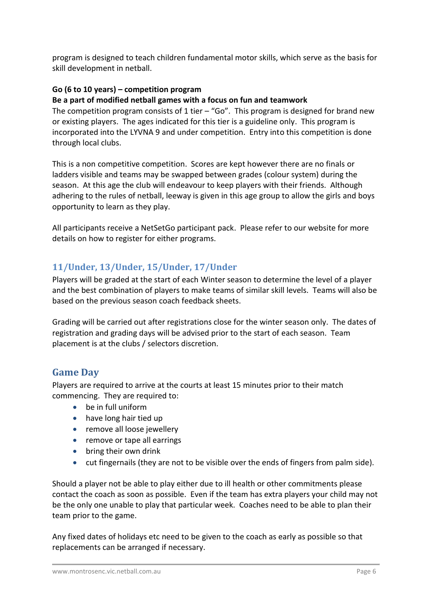program is designed to teach children fundamental motor skills, which serve as the basis for skill development in netball.

#### **Go (6 to 10 years) – competition program**

#### **Be a part of modified netball games with a focus on fun and teamwork**

The competition program consists of 1 tier  $-$  "Go". This program is designed for brand new or existing players. The ages indicated for this tier is a guideline only. This program is incorporated into the LYVNA 9 and under competition. Entry into this competition is done through local clubs.

This is a non competitive competition. Scores are kept however there are no finals or ladders visible and teams may be swapped between grades (colour system) during the season. At this age the club will endeavour to keep players with their friends. Although adhering to the rules of netball, leeway is given in this age group to allow the girls and boys opportunity to learn as they play.

All participants receive a NetSetGo participant pack. Please refer to our website for more details on how to register for either programs.

## **11/Under, 13/Under, 15/Under, 17/Under**

Players will be graded at the start of each Winter season to determine the level of a player and the best combination of players to make teams of similar skill levels. Teams will also be based on the previous season coach feedback sheets.

Grading will be carried out after registrations close for the winter season only. The dates of registration and grading days will be advised prior to the start of each season. Team placement is at the clubs / selectors discretion.

## <span id="page-7-0"></span>**Game Day**

Players are required to arrive at the courts at least 15 minutes prior to their match commencing. They are required to:

- be in full uniform
- have long hair tied up
- remove all loose jewellery
- remove or tape all earrings
- bring their own drink
- cut fingernails (they are not to be visible over the ends of fingers from palm side).

Should a player not be able to play either due to ill health or other commitments please contact the coach as soon as possible. Even if the team has extra players your child may not be the only one unable to play that particular week. Coaches need to be able to plan their team prior to the game.

Any fixed dates of holidays etc need to be given to the coach as early as possible so that replacements can be arranged if necessary.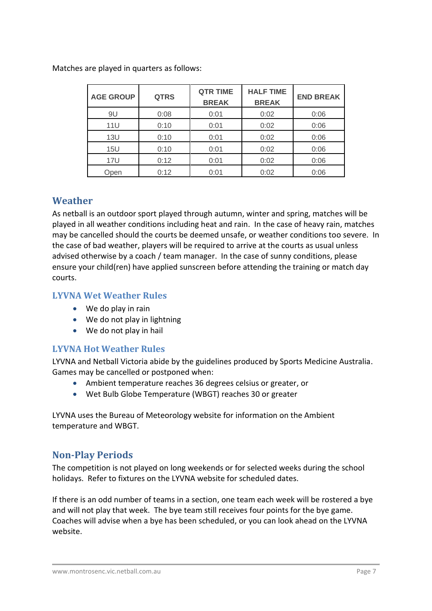| <b>AGE GROUP</b> | <b>QTRS</b> | <b>QTR TIME</b><br><b>BREAK</b> | <b>HALF TIME</b><br><b>BREAK</b> | <b>END BREAK</b> |
|------------------|-------------|---------------------------------|----------------------------------|------------------|
| 9U               | 0:08        | 0:01                            | 0:02                             | 0:06             |
| 11U              | 0:10        | 0:01                            | 0:02                             | 0:06             |
| 13U              | 0:10        | 0:01                            | 0:02                             | 0:06             |
| 15U              | 0:10        | 0:01                            | 0:02                             | 0:06             |
| 17U              | 0:12        | 0:01                            | 0:02                             | 0:06             |
| Open             | 0:12        | 0:01                            | 0:02                             | 0:06             |

Matches are played in quarters as follows:

#### <span id="page-8-0"></span>**Weather**

As netball is an outdoor sport played through autumn, winter and spring, matches will be played in all weather conditions including heat and rain. In the case of heavy rain, matches may be cancelled should the courts be deemed unsafe, or weather conditions too severe. In the case of bad weather, players will be required to arrive at the courts as usual unless advised otherwise by a coach / team manager. In the case of sunny conditions, please ensure your child(ren) have applied sunscreen before attending the training or match day courts.

#### **LYVNA Wet Weather Rules**

- We do play in rain
- We do not play in lightning
- We do not play in hail

#### **LYVNA Hot Weather Rules**

LYVNA and Netball Victoria abide by the guidelines produced by Sports Medicine Australia. Games may be cancelled or postponed when:

- Ambient temperature reaches 36 degrees celsius or greater, or
- Wet Bulb Globe Temperature (WBGT) reaches 30 or greater

LYVNA uses the Bureau of Meteorology website for information on the Ambient temperature and WBGT.

# <span id="page-8-1"></span>**Non-Play Periods**

The competition is not played on long weekends or for selected weeks during the school holidays. Refer to fixtures on the LYVNA website for scheduled dates.

If there is an odd number of teams in a section, one team each week will be rostered a bye and will not play that week. The bye team still receives four points for the bye game. Coaches will advise when a bye has been scheduled, or you can look ahead on the LYVNA website.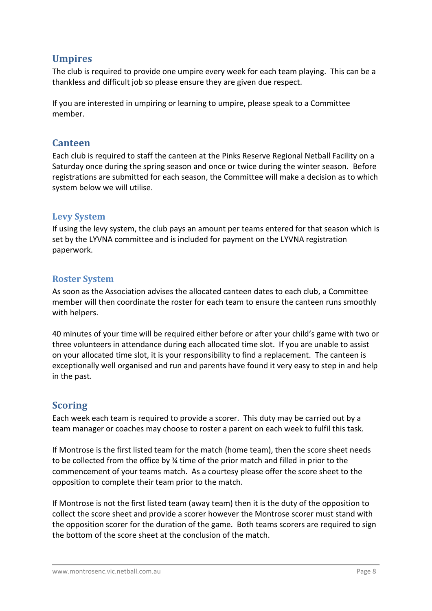## <span id="page-9-0"></span>**Umpires**

The club is required to provide one umpire every week for each team playing. This can be a thankless and difficult job so please ensure they are given due respect.

If you are interested in umpiring or learning to umpire, please speak to a Committee member.

#### <span id="page-9-1"></span>**Canteen**

Each club is required to staff the canteen at the Pinks Reserve Regional Netball Facility on a Saturday once during the spring season and once or twice during the winter season. Before registrations are submitted for each season, the Committee will make a decision as to which system below we will utilise.

#### **Levy System**

If using the levy system, the club pays an amount per teams entered for that season which is set by the LYVNA committee and is included for payment on the LYVNA registration paperwork.

#### **Roster System**

As soon as the Association advises the allocated canteen dates to each club, a Committee member will then coordinate the roster for each team to ensure the canteen runs smoothly with helpers.

40 minutes of your time will be required either before or after your child's game with two or three volunteers in attendance during each allocated time slot. If you are unable to assist on your allocated time slot, it is your responsibility to find a replacement. The canteen is exceptionally well organised and run and parents have found it very easy to step in and help in the past.

## <span id="page-9-2"></span>**Scoring**

Each week each team is required to provide a scorer. This duty may be carried out by a team manager or coaches may choose to roster a parent on each week to fulfil this task.

If Montrose is the first listed team for the match (home team), then the score sheet needs to be collected from the office by ¾ time of the prior match and filled in prior to the commencement of your teams match. As a courtesy please offer the score sheet to the opposition to complete their team prior to the match.

If Montrose is not the first listed team (away team) then it is the duty of the opposition to collect the score sheet and provide a scorer however the Montrose scorer must stand with the opposition scorer for the duration of the game. Both teams scorers are required to sign the bottom of the score sheet at the conclusion of the match.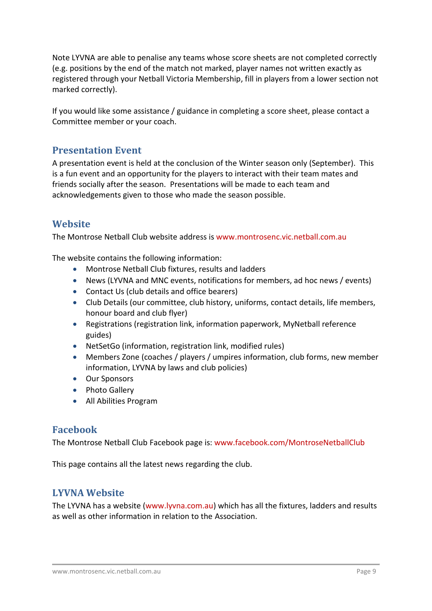Note LYVNA are able to penalise any teams whose score sheets are not completed correctly (e.g. positions by the end of the match not marked, player names not written exactly as registered through your Netball Victoria Membership, fill in players from a lower section not marked correctly).

If you would like some assistance / guidance in completing a score sheet, please contact a Committee member or your coach.

#### <span id="page-10-0"></span>**Presentation Event**

A presentation event is held at the conclusion of the Winter season only (September). This is a fun event and an opportunity for the players to interact with their team mates and friends socially after the season. Presentations will be made to each team and acknowledgements given to those who made the season possible.

#### <span id="page-10-1"></span>**Website**

The Montrose Netball Club website address is www.montrosenc.vic.netball.com.au

The website contains the following information:

- Montrose Netball Club fixtures, results and ladders
- News (LYVNA and MNC events, notifications for members, ad hoc news / events)
- Contact Us (club details and office bearers)
- Club Details (our committee, club history, uniforms, contact details, life members, honour board and club flyer)
- Registrations (registration link, information paperwork, MyNetball reference guides)
- NetSetGo (information, registration link, modified rules)
- Members Zone (coaches / players / umpires information, club forms, new member information, LYVNA by laws and club policies)
- Our Sponsors
- Photo Gallery
- All Abilities Program

## <span id="page-10-2"></span>**Facebook**

The Montrose Netball Club Facebook page is: www.facebook.com/MontroseNetballClub

<span id="page-10-3"></span>This page contains all the latest news regarding the club.

## **LYVNA Website**

The LYVNA has a website (www.lyvna.com.au) which has all the fixtures, ladders and results as well as other information in relation to the Association.